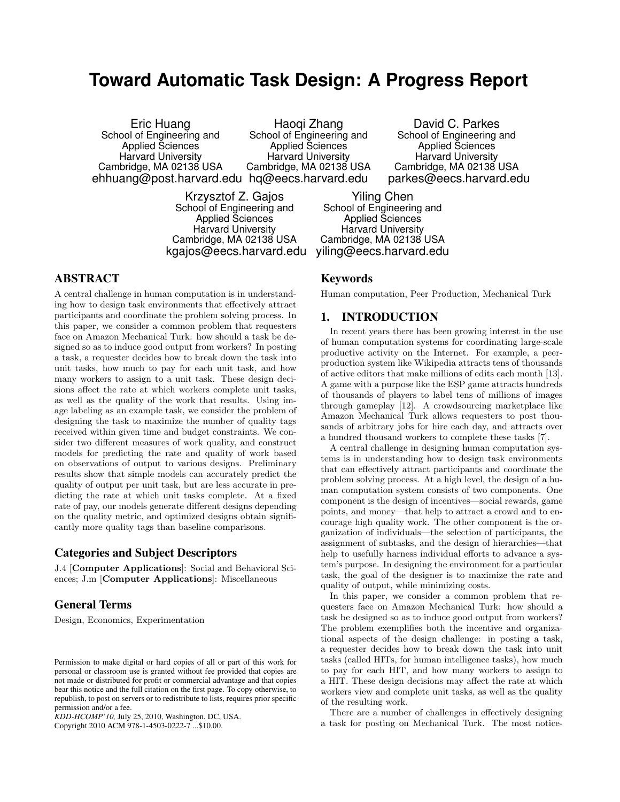# **Toward Automatic Task Design: A Progress Report**

Eric Huang School of Engineering and Applied Sciences Harvard University Cambridge, MA 02138 USA ehhuang@post.harvard.edu hq@eecs.harvard.edu Haoqi Zhang School of Engineering and Applied Sciences Harvard University Cambridge, MA 02138 USA

> Krzysztof Z. Gajos School of Engineering and Applied Sciences Harvard University Cambridge, MA 02138 USA kgajos@eecs.harvard.edu

David C. Parkes School of Engineering and Applied Sciences Harvard University Cambridge, MA 02138 USA parkes@eecs.harvard.edu

Yiling Chen School of Engineering and Applied Sciences Harvard University Cambridge, MA 02138 USA yiling@eecs.harvard.edu

# ABSTRACT

A central challenge in human computation is in understanding how to design task environments that effectively attract participants and coordinate the problem solving process. In this paper, we consider a common problem that requesters face on Amazon Mechanical Turk: how should a task be designed so as to induce good output from workers? In posting a task, a requester decides how to break down the task into unit tasks, how much to pay for each unit task, and how many workers to assign to a unit task. These design decisions affect the rate at which workers complete unit tasks, as well as the quality of the work that results. Using image labeling as an example task, we consider the problem of designing the task to maximize the number of quality tags received within given time and budget constraints. We consider two different measures of work quality, and construct models for predicting the rate and quality of work based on observations of output to various designs. Preliminary results show that simple models can accurately predict the quality of output per unit task, but are less accurate in predicting the rate at which unit tasks complete. At a fixed rate of pay, our models generate different designs depending on the quality metric, and optimized designs obtain significantly more quality tags than baseline comparisons.

### Categories and Subject Descriptors

J.4 [Computer Applications]: Social and Behavioral Sciences; J.m [Computer Applications]: Miscellaneous

# General Terms

Design, Economics, Experimentation

*KDD-HCOMP'10,* July 25, 2010, Washington, DC, USA. Copyright 2010 ACM 978-1-4503-0222-7 ...\$10.00.

### Keywords

Human computation, Peer Production, Mechanical Turk

# 1. INTRODUCTION

In recent years there has been growing interest in the use of human computation systems for coordinating large-scale productive activity on the Internet. For example, a peerproduction system like Wikipedia attracts tens of thousands of active editors that make millions of edits each month [13]. A game with a purpose like the ESP game attracts hundreds of thousands of players to label tens of millions of images through gameplay [12]. A crowdsourcing marketplace like Amazon Mechanical Turk allows requesters to post thousands of arbitrary jobs for hire each day, and attracts over a hundred thousand workers to complete these tasks [7].

A central challenge in designing human computation systems is in understanding how to design task environments that can effectively attract participants and coordinate the problem solving process. At a high level, the design of a human computation system consists of two components. One component is the design of incentives—social rewards, game points, and money—that help to attract a crowd and to encourage high quality work. The other component is the organization of individuals—the selection of participants, the assignment of subtasks, and the design of hierarchies—that help to usefully harness individual efforts to advance a system's purpose. In designing the environment for a particular task, the goal of the designer is to maximize the rate and quality of output, while minimizing costs.

In this paper, we consider a common problem that requesters face on Amazon Mechanical Turk: how should a task be designed so as to induce good output from workers? The problem exemplifies both the incentive and organizational aspects of the design challenge: in posting a task, a requester decides how to break down the task into unit tasks (called HITs, for human intelligence tasks), how much to pay for each HIT, and how many workers to assign to a HIT. These design decisions may affect the rate at which workers view and complete unit tasks, as well as the quality of the resulting work.

There are a number of challenges in effectively designing a task for posting on Mechanical Turk. The most notice-

Permission to make digital or hard copies of all or part of this work for personal or classroom use is granted without fee provided that copies are not made or distributed for profit or commercial advantage and that copies bear this notice and the full citation on the first page. To copy otherwise, to republish, to post on servers or to redistribute to lists, requires prior specific permission and/or a fee.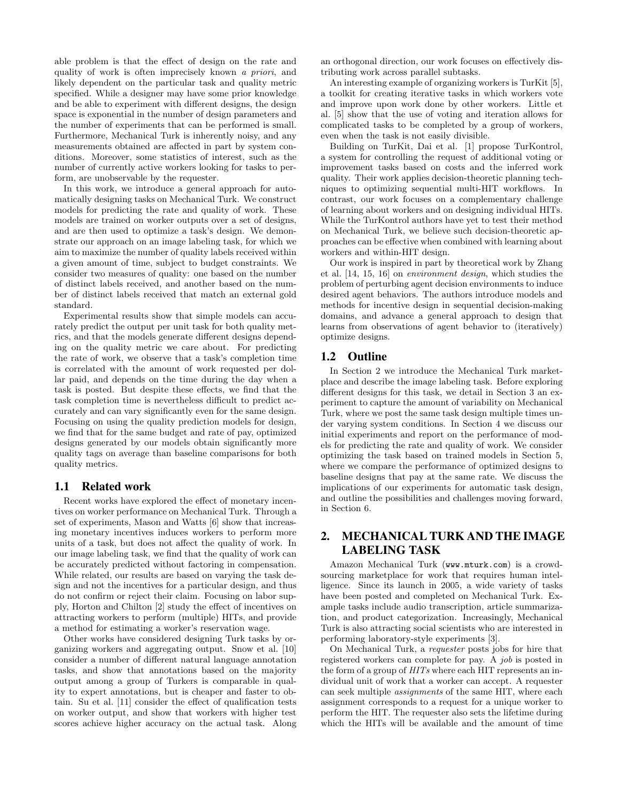able problem is that the effect of design on the rate and quality of work is often imprecisely known a priori, and likely dependent on the particular task and quality metric specified. While a designer may have some prior knowledge and be able to experiment with different designs, the design space is exponential in the number of design parameters and the number of experiments that can be performed is small. Furthermore, Mechanical Turk is inherently noisy, and any measurements obtained are affected in part by system conditions. Moreover, some statistics of interest, such as the number of currently active workers looking for tasks to perform, are unobservable by the requester.

In this work, we introduce a general approach for automatically designing tasks on Mechanical Turk. We construct models for predicting the rate and quality of work. These models are trained on worker outputs over a set of designs, and are then used to optimize a task's design. We demonstrate our approach on an image labeling task, for which we aim to maximize the number of quality labels received within a given amount of time, subject to budget constraints. We consider two measures of quality: one based on the number of distinct labels received, and another based on the number of distinct labels received that match an external gold standard.

Experimental results show that simple models can accurately predict the output per unit task for both quality metrics, and that the models generate different designs depending on the quality metric we care about. For predicting the rate of work, we observe that a task's completion time is correlated with the amount of work requested per dollar paid, and depends on the time during the day when a task is posted. But despite these effects, we find that the task completion time is nevertheless difficult to predict accurately and can vary significantly even for the same design. Focusing on using the quality prediction models for design, we find that for the same budget and rate of pay, optimized designs generated by our models obtain significantly more quality tags on average than baseline comparisons for both quality metrics.

### 1.1 Related work

Recent works have explored the effect of monetary incentives on worker performance on Mechanical Turk. Through a set of experiments, Mason and Watts [6] show that increasing monetary incentives induces workers to perform more units of a task, but does not affect the quality of work. In our image labeling task, we find that the quality of work can be accurately predicted without factoring in compensation. While related, our results are based on varying the task design and not the incentives for a particular design, and thus do not confirm or reject their claim. Focusing on labor supply, Horton and Chilton [2] study the effect of incentives on attracting workers to perform (multiple) HITs, and provide a method for estimating a worker's reservation wage.

Other works have considered designing Turk tasks by organizing workers and aggregating output. Snow et al. [10] consider a number of different natural language annotation tasks, and show that annotations based on the majority output among a group of Turkers is comparable in quality to expert annotations, but is cheaper and faster to obtain. Su et al. [11] consider the effect of qualification tests on worker output, and show that workers with higher test scores achieve higher accuracy on the actual task. Along an orthogonal direction, our work focuses on effectively distributing work across parallel subtasks.

An interesting example of organizing workers is TurKit [5], a toolkit for creating iterative tasks in which workers vote and improve upon work done by other workers. Little et al. [5] show that the use of voting and iteration allows for complicated tasks to be completed by a group of workers, even when the task is not easily divisible.

Building on TurKit, Dai et al. [1] propose TurKontrol, a system for controlling the request of additional voting or improvement tasks based on costs and the inferred work quality. Their work applies decision-theoretic planning techniques to optimizing sequential multi-HIT workflows. In contrast, our work focuses on a complementary challenge of learning about workers and on designing individual HITs. While the TurKontrol authors have yet to test their method on Mechanical Turk, we believe such decision-theoretic approaches can be effective when combined with learning about workers and within-HIT design.

Our work is inspired in part by theoretical work by Zhang et al. [14, 15, 16] on environment design, which studies the problem of perturbing agent decision environments to induce desired agent behaviors. The authors introduce models and methods for incentive design in sequential decision-making domains, and advance a general approach to design that learns from observations of agent behavior to (iteratively) optimize designs.

# 1.2 Outline

In Section 2 we introduce the Mechanical Turk marketplace and describe the image labeling task. Before exploring different designs for this task, we detail in Section 3 an experiment to capture the amount of variability on Mechanical Turk, where we post the same task design multiple times under varying system conditions. In Section 4 we discuss our initial experiments and report on the performance of models for predicting the rate and quality of work. We consider optimizing the task based on trained models in Section 5, where we compare the performance of optimized designs to baseline designs that pay at the same rate. We discuss the implications of our experiments for automatic task design, and outline the possibilities and challenges moving forward, in Section 6.

# 2. MECHANICAL TURK AND THE IMAGE LABELING TASK

Amazon Mechanical Turk (www.mturk.com) is a crowdsourcing marketplace for work that requires human intelligence. Since its launch in 2005, a wide variety of tasks have been posted and completed on Mechanical Turk. Example tasks include audio transcription, article summarization, and product categorization. Increasingly, Mechanical Turk is also attracting social scientists who are interested in performing laboratory-style experiments [3].

On Mechanical Turk, a requester posts jobs for hire that registered workers can complete for pay. A job is posted in the form of a group of  $HITs$  where each HIT represents an individual unit of work that a worker can accept. A requester can seek multiple assignments of the same HIT, where each assignment corresponds to a request for a unique worker to perform the HIT. The requester also sets the lifetime during which the HITs will be available and the amount of time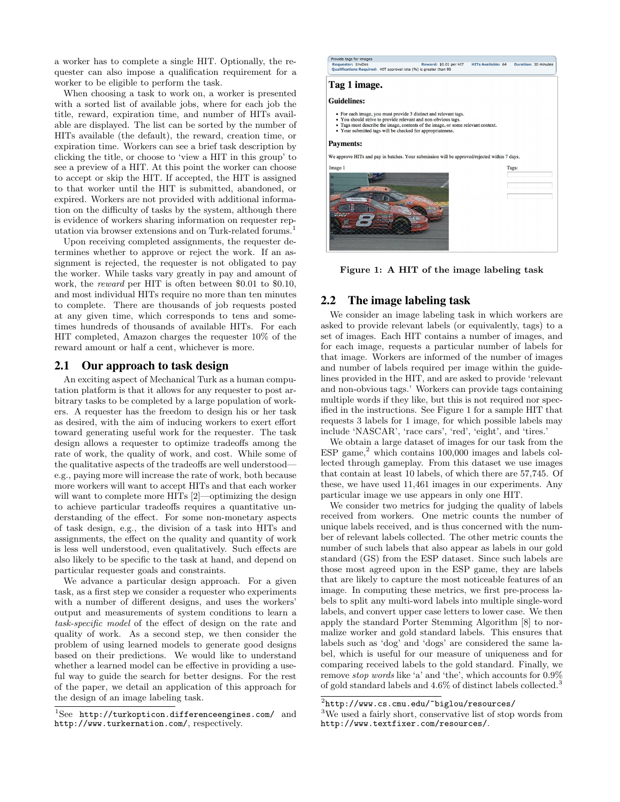a worker has to complete a single HIT. Optionally, the requester can also impose a qualification requirement for a worker to be eligible to perform the task.

When choosing a task to work on, a worker is presented with a sorted list of available jobs, where for each job the title, reward, expiration time, and number of HITs available are displayed. The list can be sorted by the number of HITs available (the default), the reward, creation time, or expiration time. Workers can see a brief task description by clicking the title, or choose to 'view a HIT in this group' to see a preview of a HIT. At this point the worker can choose to accept or skip the HIT. If accepted, the HIT is assigned to that worker until the HIT is submitted, abandoned, or expired. Workers are not provided with additional information on the difficulty of tasks by the system, although there is evidence of workers sharing information on requester reputation via browser extensions and on Turk-related forums.<sup>1</sup>

Upon receiving completed assignments, the requester determines whether to approve or reject the work. If an assignment is rejected, the requester is not obligated to pay the worker. While tasks vary greatly in pay and amount of work, the reward per HIT is often between \$0.01 to \$0.10, and most individual HITs require no more than ten minutes to complete. There are thousands of job requests posted at any given time, which corresponds to tens and sometimes hundreds of thousands of available HITs. For each HIT completed, Amazon charges the requester 10% of the reward amount or half a cent, whichever is more.

# 2.1 Our approach to task design

An exciting aspect of Mechanical Turk as a human computation platform is that it allows for any requester to post arbitrary tasks to be completed by a large population of workers. A requester has the freedom to design his or her task as desired, with the aim of inducing workers to exert effort toward generating useful work for the requester. The task design allows a requester to optimize tradeoffs among the rate of work, the quality of work, and cost. While some of the qualitative aspects of the tradeoffs are well understood e.g., paying more will increase the rate of work, both because more workers will want to accept HITs and that each worker will want to complete more HITs [2]—optimizing the design to achieve particular tradeoffs requires a quantitative understanding of the effect. For some non-monetary aspects of task design, e.g., the division of a task into HITs and assignments, the effect on the quality and quantity of work is less well understood, even qualitatively. Such effects are also likely to be specific to the task at hand, and depend on particular requester goals and constraints.

We advance a particular design approach. For a given task, as a first step we consider a requester who experiments with a number of different designs, and uses the workers' output and measurements of system conditions to learn a task-specific model of the effect of design on the rate and quality of work. As a second step, we then consider the problem of using learned models to generate good designs based on their predictions. We would like to understand whether a learned model can be effective in providing a useful way to guide the search for better designs. For the rest of the paper, we detail an application of this approach for the design of an image labeling task.



Figure 1: A HIT of the image labeling task

### 2.2 The image labeling task

We consider an image labeling task in which workers are asked to provide relevant labels (or equivalently, tags) to a set of images. Each HIT contains a number of images, and for each image, requests a particular number of labels for that image. Workers are informed of the number of images and number of labels required per image within the guidelines provided in the HIT, and are asked to provide 'relevant and non-obvious tags.' Workers can provide tags containing multiple words if they like, but this is not required nor specified in the instructions. See Figure 1 for a sample HIT that requests 3 labels for 1 image, for which possible labels may include 'NASCAR', 'race cars', 'red', 'eight', and 'tires.'

We obtain a large dataset of images for our task from the ESP game, $^2$  which contains 100,000 images and labels collected through gameplay. From this dataset we use images that contain at least 10 labels, of which there are 57,745. Of these, we have used 11,461 images in our experiments. Any particular image we use appears in only one HIT.

We consider two metrics for judging the quality of labels received from workers. One metric counts the number of unique labels received, and is thus concerned with the number of relevant labels collected. The other metric counts the number of such labels that also appear as labels in our gold standard (GS) from the ESP dataset. Since such labels are those most agreed upon in the ESP game, they are labels that are likely to capture the most noticeable features of an image. In computing these metrics, we first pre-process labels to split any multi-word labels into multiple single-word labels, and convert upper case letters to lower case. We then apply the standard Porter Stemming Algorithm [8] to normalize worker and gold standard labels. This ensures that labels such as 'dog' and 'dogs' are considered the same label, which is useful for our measure of uniqueness and for comparing received labels to the gold standard. Finally, we remove stop words like 'a' and 'the', which accounts for 0.9% of gold standard labels and 4.6% of distinct labels collected.<sup>3</sup>

 $1$ See http://turkopticon.differenceengines.com/ and http://www.turkernation.com/, respectively.

 $^2$ http://www.cs.cmu.edu/~biglou/resources/

<sup>&</sup>lt;sup>3</sup>We used a fairly short, conservative list of stop words from http://www.textfixer.com/resources/.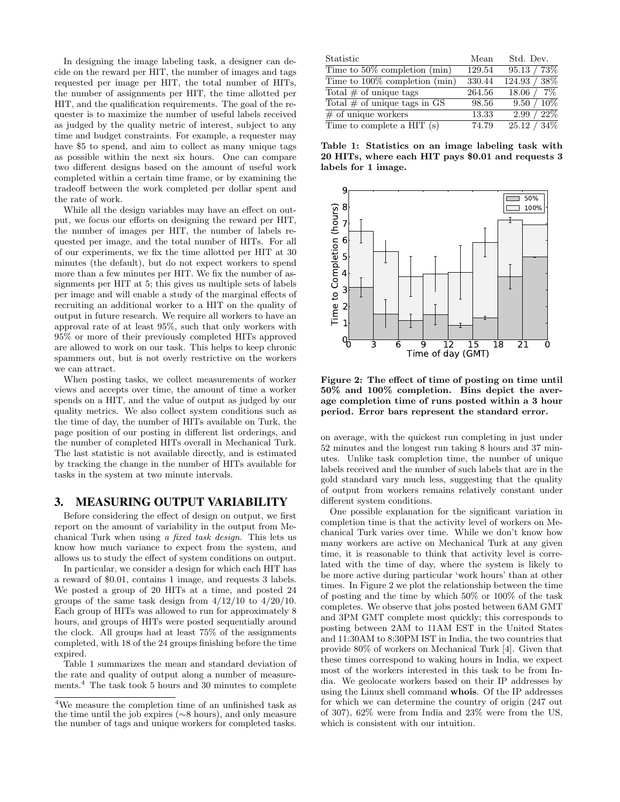In designing the image labeling task, a designer can decide on the reward per HIT, the number of images and tags requested per image per HIT, the total number of HITs, the number of assignments per HIT, the time allotted per HIT, and the qualification requirements. The goal of the requester is to maximize the number of useful labels received as judged by the quality metric of interest, subject to any time and budget constraints. For example, a requester may have \$5 to spend, and aim to collect as many unique tags as possible within the next six hours. One can compare two different designs based on the amount of useful work completed within a certain time frame, or by examining the tradeoff between the work completed per dollar spent and the rate of work.

While all the design variables may have an effect on output, we focus our efforts on designing the reward per HIT, the number of images per HIT, the number of labels requested per image, and the total number of HITs. For all of our experiments, we fix the time allotted per HIT at 30 minutes (the default), but do not expect workers to spend more than a few minutes per HIT. We fix the number of assignments per HIT at 5; this gives us multiple sets of labels per image and will enable a study of the marginal effects of recruiting an additional worker to a HIT on the quality of output in future research. We require all workers to have an approval rate of at least 95%, such that only workers with 95% or more of their previously completed HITs approved are allowed to work on our task. This helps to keep chronic spammers out, but is not overly restrictive on the workers we can attract.

When posting tasks, we collect measurements of worker views and accepts over time, the amount of time a worker spends on a HIT, and the value of output as judged by our quality metrics. We also collect system conditions such as the time of day, the number of HITs available on Turk, the page position of our posting in different list orderings, and the number of completed HITs overall in Mechanical Turk. The last statistic is not available directly, and is estimated by tracking the change in the number of HITs available for tasks in the system at two minute intervals.

# 3. MEASURING OUTPUT VARIABILITY

Before considering the effect of design on output, we first report on the amount of variability in the output from Mechanical Turk when using a fixed task design. This lets us know how much variance to expect from the system, and allows us to study the effect of system conditions on output.

In particular, we consider a design for which each HIT has a reward of \$0.01, contains 1 image, and requests 3 labels. We posted a group of 20 HITs at a time, and posted 24 groups of the same task design from  $4/12/10$  to  $4/20/10$ . Each group of HITs was allowed to run for approximately 8 hours, and groups of HITs were posted sequentially around the clock. All groups had at least 75% of the assignments completed, with 18 of the 24 groups finishing before the time expired.

Table 1 summarizes the mean and standard deviation of the rate and quality of output along a number of measurements.<sup>4</sup> The task took 5 hours and 30 minutes to complete

| Statistic                        | Mean   | Std. Dev.      |
|----------------------------------|--------|----------------|
| Time to $50\%$ completion (min)  | 129.54 | $95.13 / 73\%$ |
| Time to $100\%$ completion (min) | 330.44 | 124.93 / 38%   |
| Total $#$ of unique tags         | 264.56 | $18.06 / 7\%$  |
| Total $#$ of unique tags in GS   | 98.56  | $9.50 / 10\%$  |
| $\#$ of unique workers           | 13.33  | $2.99 / 22\%$  |
| Time to complete a HIT $(s)$     | 74.79  | $25.12 / 34\%$ |

Table 1: Statistics on an image labeling task with 20 HITs, where each HIT pays \$0.01 and requests 3 labels for 1 image.



Figure 2: The effect of time of posting on time until 50% and 100% completion. Bins depict the average completion time of runs posted within a 3 hour period. Error bars represent the standard error.

on average, with the quickest run completing in just under 52 minutes and the longest run taking 8 hours and 37 minutes. Unlike task completion time, the number of unique labels received and the number of such labels that are in the gold standard vary much less, suggesting that the quality of output from workers remains relatively constant under different system conditions.

One possible explanation for the significant variation in completion time is that the activity level of workers on Mechanical Turk varies over time. While we don't know how many workers are active on Mechanical Turk at any given time, it is reasonable to think that activity level is correlated with the time of day, where the system is likely to be more active during particular 'work hours' than at other times. In Figure 2 we plot the relationship between the time of posting and the time by which 50% or 100% of the task completes. We observe that jobs posted between 6AM GMT and 3PM GMT complete most quickly; this corresponds to posting between 2AM to 11AM EST in the United States and 11:30AM to 8:30PM IST in India, the two countries that provide 80% of workers on Mechanical Turk [4]. Given that these times correspond to waking hours in India, we expect most of the workers interested in this task to be from India. We geolocate workers based on their IP addresses by using the Linux shell command whois. Of the IP addresses for which we can determine the country of origin (247 out of 307), 62% were from India and 23% were from the US, which is consistent with our intuition.

<sup>4</sup>We measure the completion time of an unfinished task as the time until the job expires (∼8 hours), and only measure the number of tags and unique workers for completed tasks.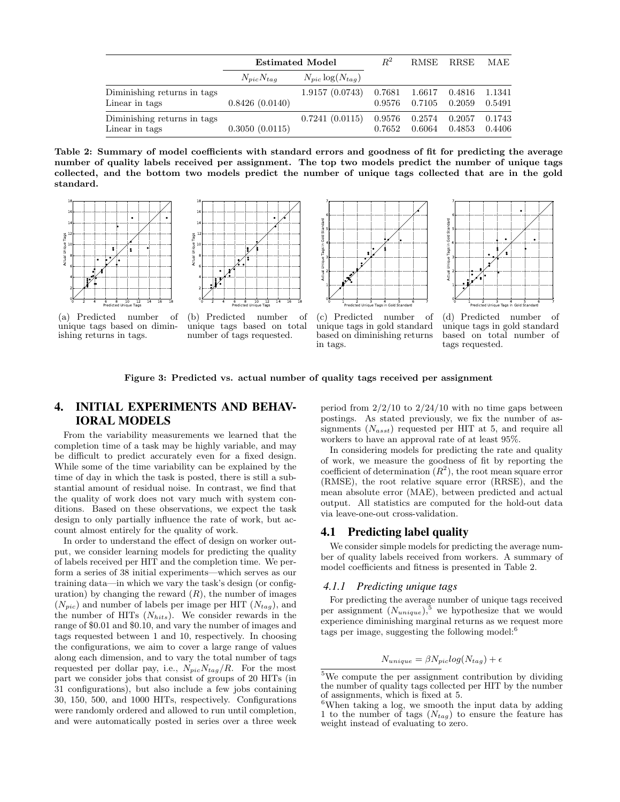|                                               | <b>Estimated Model</b> | $R^2$                   | <b>RMSE</b>          | <b>RRSE</b>      | MAE              |                  |
|-----------------------------------------------|------------------------|-------------------------|----------------------|------------------|------------------|------------------|
|                                               | $N_{pic}N_{taa}$       | $N_{pic} \log(N_{tag})$ |                      |                  |                  |                  |
| Diminishing returns in tags<br>Linear in tags | 0.8426(0.0140)         | 1.9157(0.0743)          | $0.7681\,$<br>0.9576 | 1.6617<br>0.7105 | 0.4816<br>0.2059 | 1.1341<br>0.5491 |
| Diminishing returns in tags<br>Linear in tags | 0.3050(0.0115)         | 0.7241(0.0115)          | 0.9576<br>0.7652     | 0.2574<br>0.6064 | 0.2057<br>0.4853 | 0.1743<br>0.4406 |

Table 2: Summary of model coefficients with standard errors and goodness of fit for predicting the average number of quality labels received per assignment. The top two models predict the number of unique tags collected, and the bottom two models predict the number of unique tags collected that are in the gold standard.



(a) Predicted number of unique tags based on diminishing returns in tags.



(b) Predicted number of unique tags based on total number of tags requested.



(c) Predicted number of unique tags in gold standard based on diminishing returns in tags.



(d) Predicted number of unique tags in gold standard based on total number of tags requested.

Figure 3: Predicted vs. actual number of quality tags received per assignment

# 4. INITIAL EXPERIMENTS AND BEHAV-IORAL MODELS

From the variability measurements we learned that the completion time of a task may be highly variable, and may be difficult to predict accurately even for a fixed design. While some of the time variability can be explained by the time of day in which the task is posted, there is still a substantial amount of residual noise. In contrast, we find that the quality of work does not vary much with system conditions. Based on these observations, we expect the task design to only partially influence the rate of work, but account almost entirely for the quality of work.

In order to understand the effect of design on worker output, we consider learning models for predicting the quality of labels received per HIT and the completion time. We perform a series of 38 initial experiments—which serves as our training data—in which we vary the task's design (or configuration) by changing the reward  $(R)$ , the number of images  $(N_{pic})$  and number of labels per image per HIT  $(N_{tag})$ , and the number of HITs  $(N_{hits})$ . We consider rewards in the range of \$0.01 and \$0.10, and vary the number of images and tags requested between 1 and 10, respectively. In choosing the configurations, we aim to cover a large range of values along each dimension, and to vary the total number of tags requested per dollar pay, i.e.,  $N_{pic}N_{tag}/R$ . For the most part we consider jobs that consist of groups of 20 HITs (in 31 configurations), but also include a few jobs containing 30, 150, 500, and 1000 HITs, respectively. Configurations were randomly ordered and allowed to run until completion, and were automatically posted in series over a three week period from  $2/2/10$  to  $2/24/10$  with no time gaps between postings. As stated previously, we fix the number of assignments  $(N_{asst})$  requested per HIT at 5, and require all workers to have an approval rate of at least 95%.

In considering models for predicting the rate and quality of work, we measure the goodness of fit by reporting the coefficient of determination  $(R^2)$ , the root mean square error (RMSE), the root relative square error (RRSE), and the mean absolute error (MAE), between predicted and actual output. All statistics are computed for the hold-out data via leave-one-out cross-validation.

### 4.1 Predicting label quality

We consider simple models for predicting the average number of quality labels received from workers. A summary of model coefficients and fitness is presented in Table 2.

# *4.1.1 Predicting unique tags*

For predicting the average number of unique tags received per assignment  $(N_{unique})$ ,<sup>5</sup> we hypothesize that we would experience diminishing marginal returns as we request more tags per image, suggesting the following model:<sup>6</sup>

$$
N_{unique} = \beta N_{pic} log(N_{tag}) + \epsilon
$$

<sup>&</sup>lt;sup>5</sup>We compute the per assignment contribution by dividing the number of quality tags collected per HIT by the number of assignments, which is fixed at 5.

 $6$ When taking a log, we smooth the input data by adding 1 to the number of tags  $(N_{tag})$  to ensure the feature has weight instead of evaluating to zero.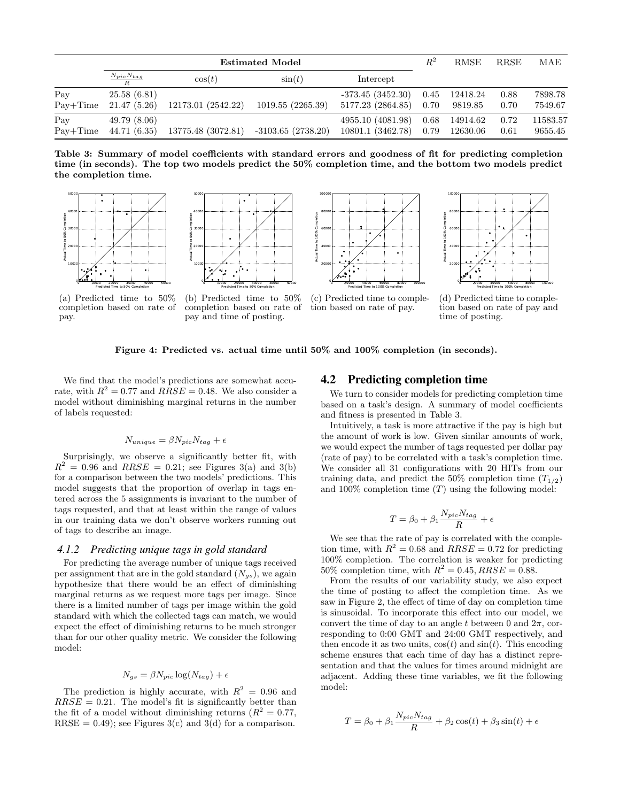|                   | <b>Estimated Model</b>      |                    |                     |                                            | $\,R^2$      | <b>RMSE</b>              | <b>RRSE</b>  | MAE                 |
|-------------------|-----------------------------|--------------------|---------------------|--------------------------------------------|--------------|--------------------------|--------------|---------------------|
|                   | $\frac{N_{pic}N_{tag}}{B}$  | $\cos(t)$          | $\sin(t)$           | Intercept                                  |              |                          |              |                     |
| Pay<br>$Pay+Time$ | 25.58(6.81)<br>21.47(5.26)  | 12173.01 (2542.22) | 1019.55(2265.39)    | $-373.45$ $(3452.30)$<br>5177.23 (2864.85) | 0.70         | 0.45 12418.24<br>9819.85 | 0.88<br>0.70 | 7898.78<br>7549.67  |
| Pay<br>$Pay+Time$ | 49.79(8.06)<br>44.71 (6.35) | 13775.48 (3072.81) | $-3103.65(2738.20)$ | 4955.10 (4081.98)<br>10801.1 (3462.78)     | 0.68<br>0.79 | 14914.62<br>12630.06     | 0.72<br>0.61 | 11583.57<br>9655.45 |

Table 3: Summary of model coefficients with standard errors and goodness of fit for predicting completion time (in seconds). The top two models predict the 50% completion time, and the bottom two models predict the completion time.





(a) Predicted time to 50% completion based on rate of pay.

(b) Predicted time to 50% completion based on rate of pay and time of posting.



tion based on rate of pay.



(d) Predicted time to completion based on rate of pay and time of posting.

#### Figure 4: Predicted vs. actual time until 50% and 100% completion (in seconds).

We find that the model's predictions are somewhat accurate, with  $R^2 = 0.77$  and  $RRSE = 0.48$ . We also consider a model without diminishing marginal returns in the number of labels requested:

$$
N_{unique} = \beta N_{pic} N_{tag} + \epsilon
$$

Surprisingly, we observe a significantly better fit, with  $R^2 = 0.96$  and  $RRSE = 0.21$ ; see Figures 3(a) and 3(b) for a comparison between the two models' predictions. This model suggests that the proportion of overlap in tags entered across the 5 assignments is invariant to the number of tags requested, and that at least within the range of values in our training data we don't observe workers running out of tags to describe an image.

#### *4.1.2 Predicting unique tags in gold standard*

For predicting the average number of unique tags received per assignment that are in the gold standard  $(N_{gs})$ , we again hypothesize that there would be an effect of diminishing marginal returns as we request more tags per image. Since there is a limited number of tags per image within the gold standard with which the collected tags can match, we would expect the effect of diminishing returns to be much stronger than for our other quality metric. We consider the following model:

$$
N_{gs} = \beta N_{pic} \log(N_{tag}) + \epsilon
$$

The prediction is highly accurate, with  $R^2 = 0.96$  and  $RRSE = 0.21$ . The model's fit is significantly better than the fit of a model without diminishing returns  $(R^2 = 0.77,$ RRSE = 0.49); see Figures 3(c) and 3(d) for a comparison.

### 4.2 Predicting completion time

We turn to consider models for predicting completion time based on a task's design. A summary of model coefficients and fitness is presented in Table 3.

Intuitively, a task is more attractive if the pay is high but the amount of work is low. Given similar amounts of work, we would expect the number of tags requested per dollar pay (rate of pay) to be correlated with a task's completion time. We consider all 31 configurations with 20 HITs from our training data, and predict the 50% completion time  $(T_{1/2})$ and  $100\%$  completion time  $(T)$  using the following model:

$$
T = \beta_0 + \beta_1 \frac{N_{pic} N_{tag}}{R} + \epsilon
$$

We see that the rate of pay is correlated with the completion time, with  $R^2 = 0.68$  and  $RRSE = 0.72$  for predicting 100% completion. The correlation is weaker for predicting 50% completion time, with  $R^2 = 0.45, RRSE = 0.88$ .

From the results of our variability study, we also expect the time of posting to affect the completion time. As we saw in Figure 2, the effect of time of day on completion time is sinusoidal. To incorporate this effect into our model, we convert the time of day to an angle t between 0 and  $2\pi$ , corresponding to 0:00 GMT and 24:00 GMT respectively, and then encode it as two units,  $\cos(t)$  and  $\sin(t)$ . This encoding scheme ensures that each time of day has a distinct representation and that the values for times around midnight are adjacent. Adding these time variables, we fit the following model:

$$
T = \beta_0 + \beta_1 \frac{N_{pic} N_{tag}}{R} + \beta_2 \cos(t) + \beta_3 \sin(t) + \epsilon
$$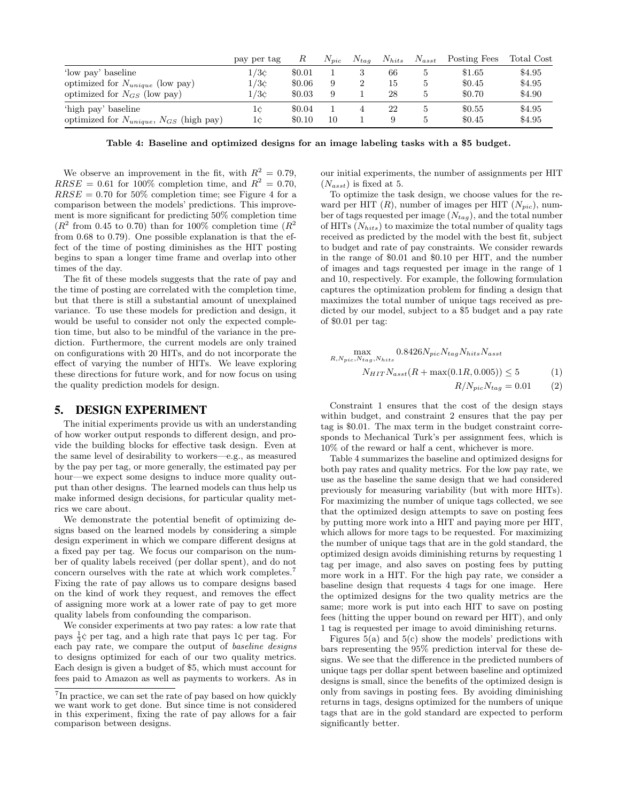|                                                  | pay per tag | R      | $N_{pic}$ | $N_{taq}$ | $N_{hits}$ | $N_{asst}$ | Posting Fees | Total Cost |
|--------------------------------------------------|-------------|--------|-----------|-----------|------------|------------|--------------|------------|
| 'low pay' baseline                               | /3c         | \$0.01 |           |           | 66         |            | \$1.65       | \$4.95     |
| optimized for $N_{unique}$ (low pay)             | /3¢         | \$0.06 |           |           | 15         |            | \$0.45       | \$4.95     |
| optimized for $N_{GS}$ (low pay)                 | /3c         | \$0.03 |           |           | 28         |            | \$0.70       | \$4.90     |
| 'high pay' baseline                              | 1ċ.         | \$0.04 |           |           | 22         |            | \$0.55       | \$4.95     |
| optimized for $N_{unique}$ , $N_{GS}$ (high pay) | 1ċ          | \$0.10 | 10        |           |            |            | \$0.45       | \$4.95     |

Table 4: Baseline and optimized designs for an image labeling tasks with a \$5 budget.

We observe an improvement in the fit, with  $R^2 = 0.79$ ,  $RRSE = 0.61$  for 100% completion time, and  $R^2 = 0.70$ ,  $RRSE = 0.70$  for 50% completion time; see Figure 4 for a comparison between the models' predictions. This improvement is more significant for predicting 50% completion time  $(R^2 \text{ from } 0.45 \text{ to } 0.70)$  than for 100% completion time  $(R^2 \text{)}$ from 0.68 to 0.79). One possible explanation is that the effect of the time of posting diminishes as the HIT posting begins to span a longer time frame and overlap into other times of the day.

The fit of these models suggests that the rate of pay and the time of posting are correlated with the completion time, but that there is still a substantial amount of unexplained variance. To use these models for prediction and design, it would be useful to consider not only the expected completion time, but also to be mindful of the variance in the prediction. Furthermore, the current models are only trained on configurations with 20 HITs, and do not incorporate the effect of varying the number of HITs. We leave exploring these directions for future work, and for now focus on using the quality prediction models for design.

### 5. DESIGN EXPERIMENT

The initial experiments provide us with an understanding of how worker output responds to different design, and provide the building blocks for effective task design. Even at the same level of desirability to workers—e.g., as measured by the pay per tag, or more generally, the estimated pay per hour—we expect some designs to induce more quality output than other designs. The learned models can thus help us make informed design decisions, for particular quality metrics we care about.

We demonstrate the potential benefit of optimizing designs based on the learned models by considering a simple design experiment in which we compare different designs at a fixed pay per tag. We focus our comparison on the number of quality labels received (per dollar spent), and do not concern ourselves with the rate at which work completes.<sup>7</sup> Fixing the rate of pay allows us to compare designs based on the kind of work they request, and removes the effect of assigning more work at a lower rate of pay to get more quality labels from confounding the comparison.

We consider experiments at two pay rates: a low rate that pays  $\frac{1}{3}$ ¢ per tag, and a high rate that pays 1¢ per tag. For each pay rate, we compare the output of baseline designs to designs optimized for each of our two quality metrics. Each design is given a budget of \$5, which must account for fees paid to Amazon as well as payments to workers. As in our initial experiments, the number of assignments per HIT  $(N_{asst})$  is fixed at 5.

To optimize the task design, we choose values for the reward per HIT  $(R)$ , number of images per HIT  $(N_{pic})$ , number of tags requested per image  $(N_{tag})$ , and the total number of HITs  $(N_{hits})$  to maximize the total number of quality tags received as predicted by the model with the best fit, subject to budget and rate of pay constraints. We consider rewards in the range of \$0.01 and \$0.10 per HIT, and the number of images and tags requested per image in the range of 1 and 10, respectively. For example, the following formulation captures the optimization problem for finding a design that maximizes the total number of unique tags received as predicted by our model, subject to a \$5 budget and a pay rate of \$0.01 per tag:

$$
\max_{R, N_{pic}, N_{tag}, N_{hits}} 0.8426 N_{pic} N_{tag} N_{hits} N_{asst}
$$

$$
N_{HIT} N_{asst} (R + \max(0.1R, 0.005)) \le 5
$$
 (1)

$$
R/N_{pic}N_{tag} = 0.01 \tag{2}
$$

Constraint 1 ensures that the cost of the design stays within budget, and constraint 2 ensures that the pay per tag is \$0.01. The max term in the budget constraint corresponds to Mechanical Turk's per assignment fees, which is 10% of the reward or half a cent, whichever is more.

Table 4 summarizes the baseline and optimized designs for both pay rates and quality metrics. For the low pay rate, we use as the baseline the same design that we had considered previously for measuring variability (but with more HITs). For maximizing the number of unique tags collected, we see that the optimized design attempts to save on posting fees by putting more work into a HIT and paying more per HIT, which allows for more tags to be requested. For maximizing the number of unique tags that are in the gold standard, the optimized design avoids diminishing returns by requesting 1 tag per image, and also saves on posting fees by putting more work in a HIT. For the high pay rate, we consider a baseline design that requests 4 tags for one image. Here the optimized designs for the two quality metrics are the same; more work is put into each HIT to save on posting fees (hitting the upper bound on reward per HIT), and only 1 tag is requested per image to avoid diminishing returns.

Figures  $5(a)$  and  $5(c)$  show the models' predictions with bars representing the 95% prediction interval for these designs. We see that the difference in the predicted numbers of unique tags per dollar spent between baseline and optimized designs is small, since the benefits of the optimized design is only from savings in posting fees. By avoiding diminishing returns in tags, designs optimized for the numbers of unique tags that are in the gold standard are expected to perform significantly better.

<sup>&</sup>lt;sup>7</sup>In practice, we can set the rate of pay based on how quickly we want work to get done. But since time is not considered in this experiment, fixing the rate of pay allows for a fair comparison between designs.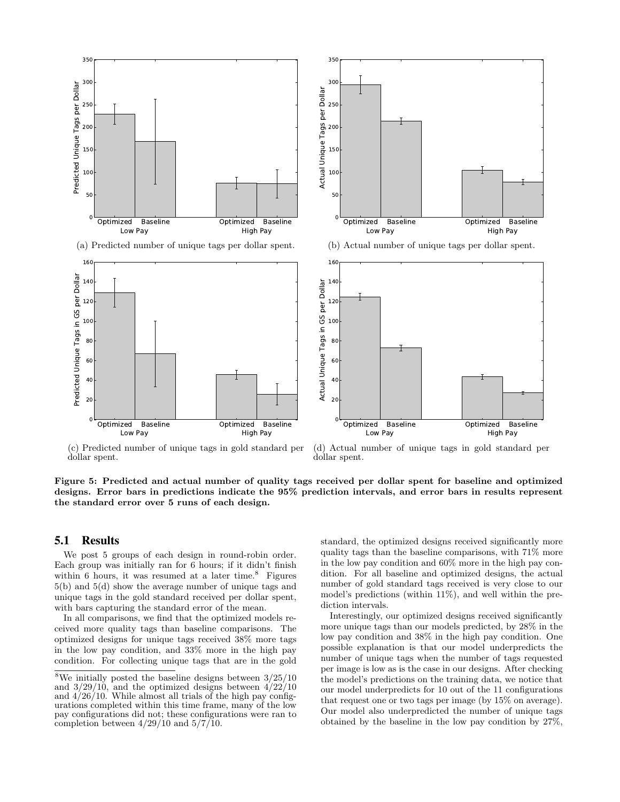

(c) Predicted number of unique tags in gold standard per dollar spent.

(d) Actual number of unique tags in gold standard per dollar spent.

Figure 5: Predicted and actual number of quality tags received per dollar spent for baseline and optimized designs. Error bars in predictions indicate the 95% prediction intervals, and error bars in results represent the standard error over 5 runs of each design.

### 5.1 Results

We post 5 groups of each design in round-robin order. Each group was initially ran for 6 hours; if it didn't finish within 6 hours, it was resumed at a later time.<sup>8</sup> Figures 5(b) and 5(d) show the average number of unique tags and unique tags in the gold standard received per dollar spent, with bars capturing the standard error of the mean.

In all comparisons, we find that the optimized models received more quality tags than baseline comparisons. The optimized designs for unique tags received 38% more tags in the low pay condition, and 33% more in the high pay condition. For collecting unique tags that are in the gold standard, the optimized designs received significantly more quality tags than the baseline comparisons, with 71% more in the low pay condition and 60% more in the high pay condition. For all baseline and optimized designs, the actual number of gold standard tags received is very close to our model's predictions (within 11%), and well within the prediction intervals.

Interestingly, our optimized designs received significantly more unique tags than our models predicted, by 28% in the low pay condition and 38% in the high pay condition. One possible explanation is that our model underpredicts the number of unique tags when the number of tags requested per image is low as is the case in our designs. After checking the model's predictions on the training data, we notice that our model underpredicts for 10 out of the 11 configurations that request one or two tags per image (by 15% on average). Our model also underpredicted the number of unique tags obtained by the baseline in the low pay condition by 27%,

<sup>&</sup>lt;sup>8</sup>We initially posted the baseline designs between  $3/25/10$ and  $3/29/10$ , and the optimized designs between  $4/22/10$ and  $4/26/10$ . While almost all trials of the high pay configurations completed within this time frame, many of the low pay configurations did not; these configurations were ran to completion between  $4/29/10$  and  $5/7/10$ .